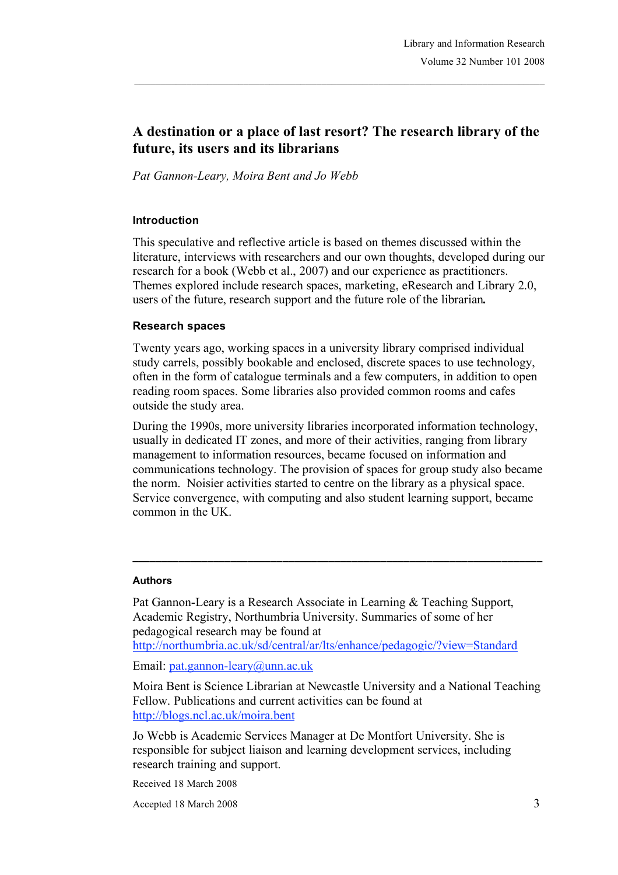# **A destination or a place of last resort? The research library of the future, its users and its librarians**

*Pat Gannon-Leary, Moira Bent and Jo Webb*

#### **Introduction**

This speculative and reflective article is based on themes discussed within the literature, interviews with researchers and our own thoughts, developed during our research for a book (Webb et al., 2007) and our experience as practitioners. Themes explored include research spaces, marketing, eResearch and Library 2.0, users of the future, research support and the future role of the librarian*.*

#### **Research spaces**

Twenty years ago, working spaces in a university library comprised individual study carrels, possibly bookable and enclosed, discrete spaces to use technology, often in the form of catalogue terminals and a few computers, in addition to open reading room spaces. Some libraries also provided common rooms and cafes outside the study area.

During the 1990s, more university libraries incorporated information technology, usually in dedicated IT zones, and more of their activities, ranging from library management to information resources, became focused on information and communications technology. The provision of spaces for group study also became the norm. Noisier activities started to centre on the library as a physical space. Service convergence, with computing and also student learning support, became common in the UK.

**\_\_\_\_\_\_\_\_\_\_\_\_\_\_\_\_\_\_\_\_\_\_\_\_\_\_\_\_\_\_\_\_\_\_\_\_\_\_\_\_\_\_\_\_\_\_\_\_\_\_\_\_\_\_\_\_\_\_\_\_\_\_\_\_\_\_\_\_\_\_\_**

#### **Authors**

Pat Gannon-Leary is a Research Associate in Learning & Teaching Support, Academic Registry, Northumbria University. Summaries of some of her pedagogical research may be found at http://northumbria.ac.uk/sd/central/ar/lts/enhance/pedagogic/?view=Standard

Email: pat.gannon-leary@unn.ac.uk

Moira Bent is Science Librarian at Newcastle University and a National Teaching Fellow. Publications and current activities can be found at http://blogs.ncl.ac.uk/moira.bent

Jo Webb is Academic Services Manager at De Montfort University. She is responsible for subject liaison and learning development services, including research training and support.

Received 18 March 2008

Accepted 18 March 2008 3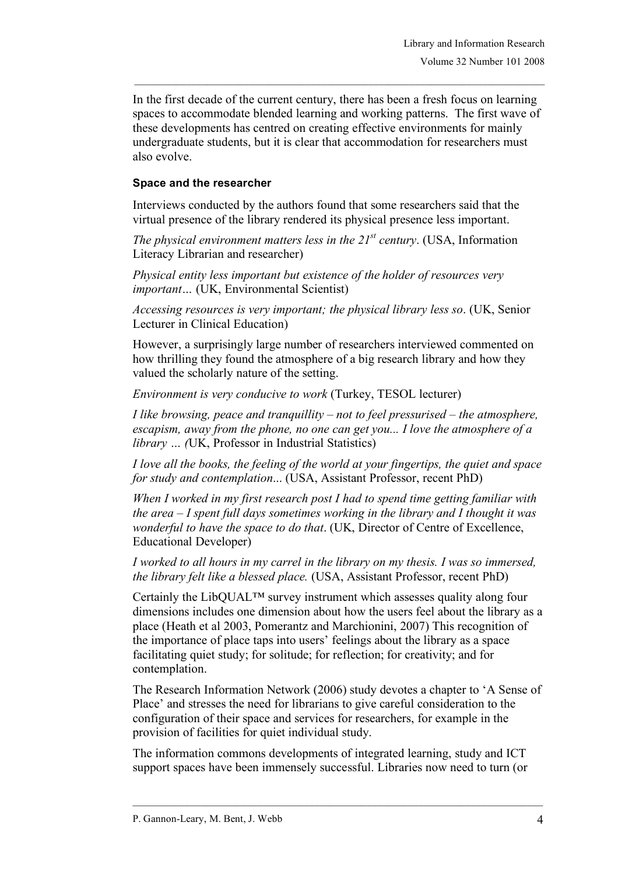In the first decade of the current century, there has been a fresh focus on learning spaces to accommodate blended learning and working patterns. The first wave of these developments has centred on creating effective environments for mainly undergraduate students, but it is clear that accommodation for researchers must also evolve.

#### **Space and the researcher**

Interviews conducted by the authors found that some researchers said that the virtual presence of the library rendered its physical presence less important.

*The physical environment matters less in the 21st century*. (USA, Information Literacy Librarian and researcher)

*Physical entity less important but existence of the holder of resources very important…* (UK, Environmental Scientist)

*Accessing resources is very important; the physical library less so*. (UK, Senior Lecturer in Clinical Education)

However, a surprisingly large number of researchers interviewed commented on how thrilling they found the atmosphere of a big research library and how they valued the scholarly nature of the setting.

*Environment is very conducive to work* (Turkey, TESOL lecturer)

*I like browsing, peace and tranquillity – not to feel pressurised – the atmosphere, escapism, away from the phone, no one can get you... I love the atmosphere of a library … (*UK, Professor in Industrial Statistics)

*I love all the books, the feeling of the world at your fingertips, the quiet and space for study and contemplation*... (USA, Assistant Professor, recent PhD)

*When I worked in my first research post I had to spend time getting familiar with the area – I spent full days sometimes working in the library and I thought it was wonderful to have the space to do that*. (UK, Director of Centre of Excellence, Educational Developer)

*I worked to all hours in my carrel in the library on my thesis. I was so immersed, the library felt like a blessed place.* (USA, Assistant Professor, recent PhD)

Certainly the LibQUAL $<sup>TM</sup>$  survey instrument which assesses quality along four</sup> dimensions includes one dimension about how the users feel about the library as a place (Heath et al 2003, Pomerantz and Marchionini, 2007) This recognition of the importance of place taps into users' feelings about the library as a space facilitating quiet study; for solitude; for reflection; for creativity; and for contemplation.

The Research Information Network (2006) study devotes a chapter to 'A Sense of Place' and stresses the need for librarians to give careful consideration to the configuration of their space and services for researchers, for example in the provision of facilities for quiet individual study.

The information commons developments of integrated learning, study and ICT support spaces have been immensely successful. Libraries now need to turn (or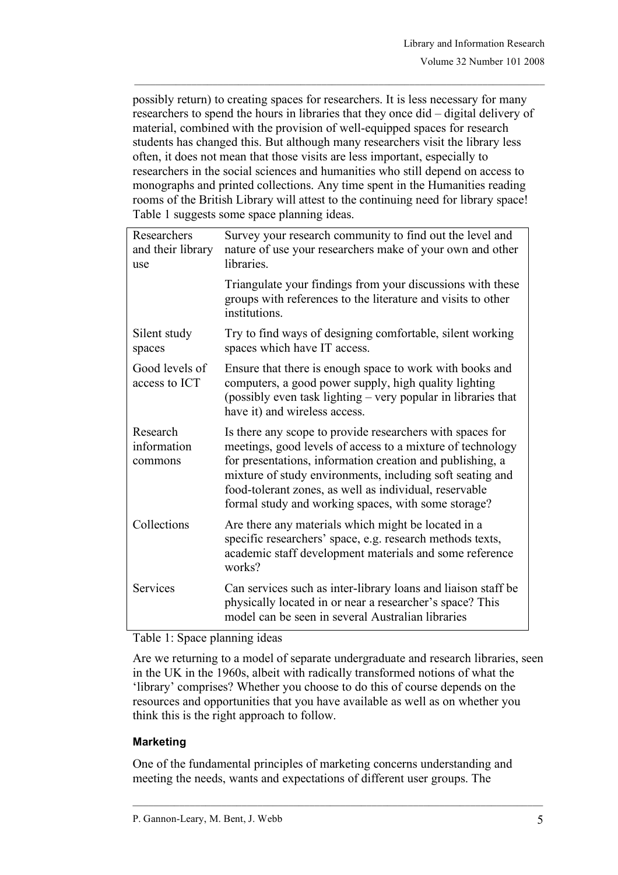possibly return) to creating spaces for researchers. It is less necessary for many researchers to spend the hours in libraries that they once did – digital delivery of material, combined with the provision of well-equipped spaces for research students has changed this. But although many researchers visit the library less often, it does not mean that those visits are less important, especially to researchers in the social sciences and humanities who still depend on access to monographs and printed collections. Any time spent in the Humanities reading rooms of the British Library will attest to the continuing need for library space! Table 1 suggests some space planning ideas.

| Researchers<br>and their library<br>use | Survey your research community to find out the level and<br>nature of use your researchers make of your own and other<br>libraries.                                                                                                                                                                                                                                |
|-----------------------------------------|--------------------------------------------------------------------------------------------------------------------------------------------------------------------------------------------------------------------------------------------------------------------------------------------------------------------------------------------------------------------|
|                                         | Triangulate your findings from your discussions with these<br>groups with references to the literature and visits to other<br>institutions.                                                                                                                                                                                                                        |
| Silent study<br>spaces                  | Try to find ways of designing comfortable, silent working<br>spaces which have IT access.                                                                                                                                                                                                                                                                          |
| Good levels of<br>access to ICT         | Ensure that there is enough space to work with books and<br>computers, a good power supply, high quality lighting<br>(possibly even task lighting – very popular in libraries that<br>have it) and wireless access.                                                                                                                                                |
| Research<br>information<br>commons      | Is there any scope to provide researchers with spaces for<br>meetings, good levels of access to a mixture of technology<br>for presentations, information creation and publishing, a<br>mixture of study environments, including soft seating and<br>food-tolerant zones, as well as individual, reservable<br>formal study and working spaces, with some storage? |
| Collections                             | Are there any materials which might be located in a<br>specific researchers' space, e.g. research methods texts,<br>academic staff development materials and some reference<br>works?                                                                                                                                                                              |
| Services                                | Can services such as inter-library loans and liaison staff be<br>physically located in or near a researcher's space? This<br>model can be seen in several Australian libraries                                                                                                                                                                                     |
|                                         |                                                                                                                                                                                                                                                                                                                                                                    |

## Table 1: Space planning ideas

Are we returning to a model of separate undergraduate and research libraries, seen in the UK in the 1960s, albeit with radically transformed notions of what the 'library' comprises? Whether you choose to do this of course depends on the resources and opportunities that you have available as well as on whether you think this is the right approach to follow.

# **Marketing**

One of the fundamental principles of marketing concerns understanding and meeting the needs, wants and expectations of different user groups. The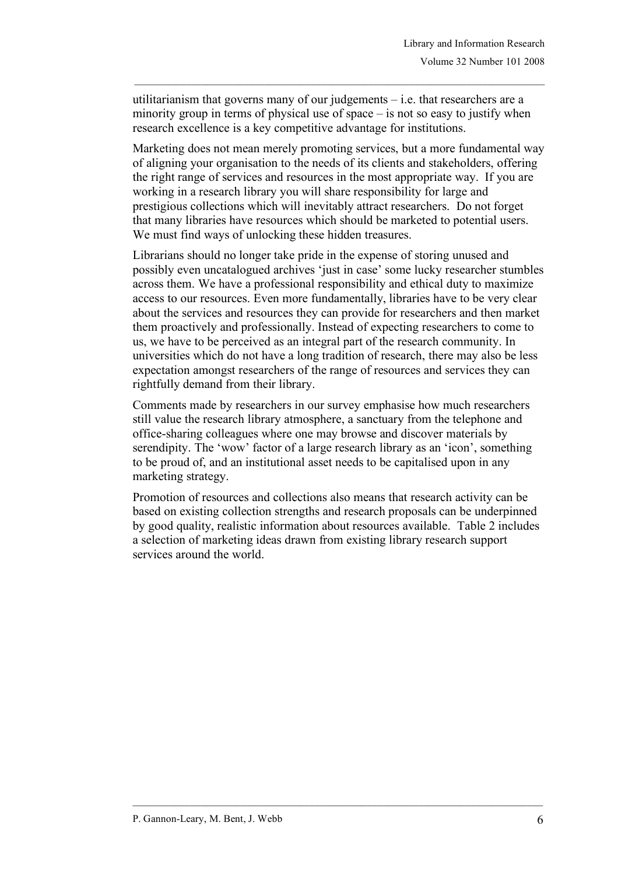utilitarianism that governs many of our judgements – i.e. that researchers are a minority group in terms of physical use of space – is not so easy to justify when research excellence is a key competitive advantage for institutions.

Marketing does not mean merely promoting services, but a more fundamental way of aligning your organisation to the needs of its clients and stakeholders, offering the right range of services and resources in the most appropriate way. If you are working in a research library you will share responsibility for large and prestigious collections which will inevitably attract researchers. Do not forget that many libraries have resources which should be marketed to potential users. We must find ways of unlocking these hidden treasures.

Librarians should no longer take pride in the expense of storing unused and possibly even uncatalogued archives 'just in case' some lucky researcher stumbles across them. We have a professional responsibility and ethical duty to maximize access to our resources. Even more fundamentally, libraries have to be very clear about the services and resources they can provide for researchers and then market them proactively and professionally. Instead of expecting researchers to come to us, we have to be perceived as an integral part of the research community. In universities which do not have a long tradition of research, there may also be less expectation amongst researchers of the range of resources and services they can rightfully demand from their library.

Comments made by researchers in our survey emphasise how much researchers still value the research library atmosphere, a sanctuary from the telephone and office-sharing colleagues where one may browse and discover materials by serendipity. The 'wow' factor of a large research library as an 'icon', something to be proud of, and an institutional asset needs to be capitalised upon in any marketing strategy.

Promotion of resources and collections also means that research activity can be based on existing collection strengths and research proposals can be underpinned by good quality, realistic information about resources available. Table 2 includes a selection of marketing ideas drawn from existing library research support services around the world.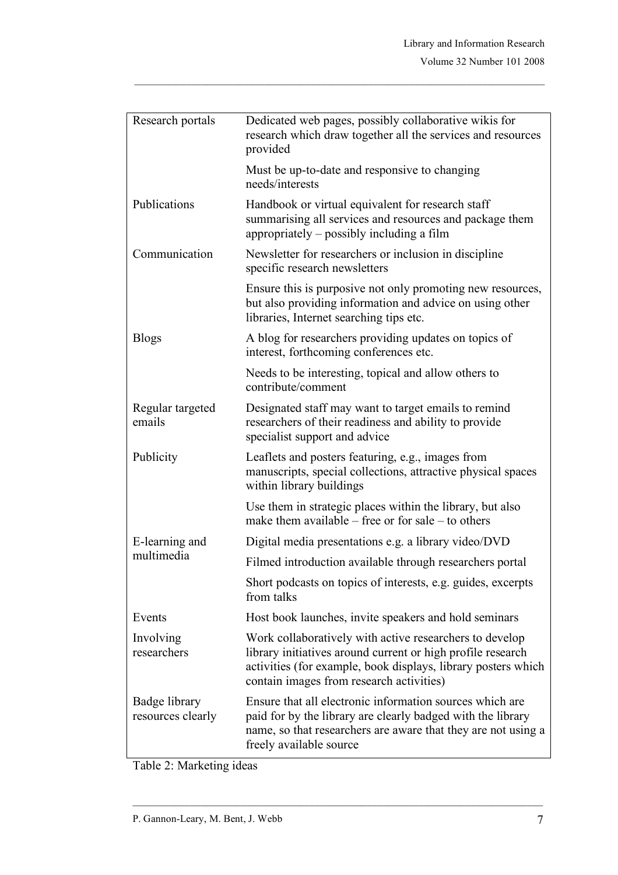| Research portals                   | Dedicated web pages, possibly collaborative wikis for<br>research which draw together all the services and resources<br>provided                                                                                                    |
|------------------------------------|-------------------------------------------------------------------------------------------------------------------------------------------------------------------------------------------------------------------------------------|
|                                    | Must be up-to-date and responsive to changing<br>needs/interests                                                                                                                                                                    |
| Publications                       | Handbook or virtual equivalent for research staff<br>summarising all services and resources and package them<br>appropriately – possibly including a film                                                                           |
| Communication                      | Newsletter for researchers or inclusion in discipline.<br>specific research newsletters                                                                                                                                             |
|                                    | Ensure this is purposive not only promoting new resources,<br>but also providing information and advice on using other<br>libraries, Internet searching tips etc.                                                                   |
| <b>Blogs</b>                       | A blog for researchers providing updates on topics of<br>interest, forthcoming conferences etc.                                                                                                                                     |
|                                    | Needs to be interesting, topical and allow others to<br>contribute/comment                                                                                                                                                          |
| Regular targeted<br>emails         | Designated staff may want to target emails to remind<br>researchers of their readiness and ability to provide<br>specialist support and advice                                                                                      |
| Publicity                          | Leaflets and posters featuring, e.g., images from<br>manuscripts, special collections, attractive physical spaces<br>within library buildings                                                                                       |
|                                    | Use them in strategic places within the library, but also<br>make them available $-$ free or for sale $-$ to others                                                                                                                 |
| E-learning and                     | Digital media presentations e.g. a library video/DVD                                                                                                                                                                                |
| multimedia                         | Filmed introduction available through researchers portal                                                                                                                                                                            |
|                                    | Short podcasts on topics of interests, e.g. guides, excerpts<br>from talks                                                                                                                                                          |
| Events                             | Host book launches, invite speakers and hold seminars                                                                                                                                                                               |
| Involving<br>researchers           | Work collaboratively with active researchers to develop<br>library initiatives around current or high profile research<br>activities (for example, book displays, library posters which<br>contain images from research activities) |
| Badge library<br>resources clearly | Ensure that all electronic information sources which are<br>paid for by the library are clearly badged with the library<br>name, so that researchers are aware that they are not using a<br>freely available source                 |

Table 2: Marketing ideas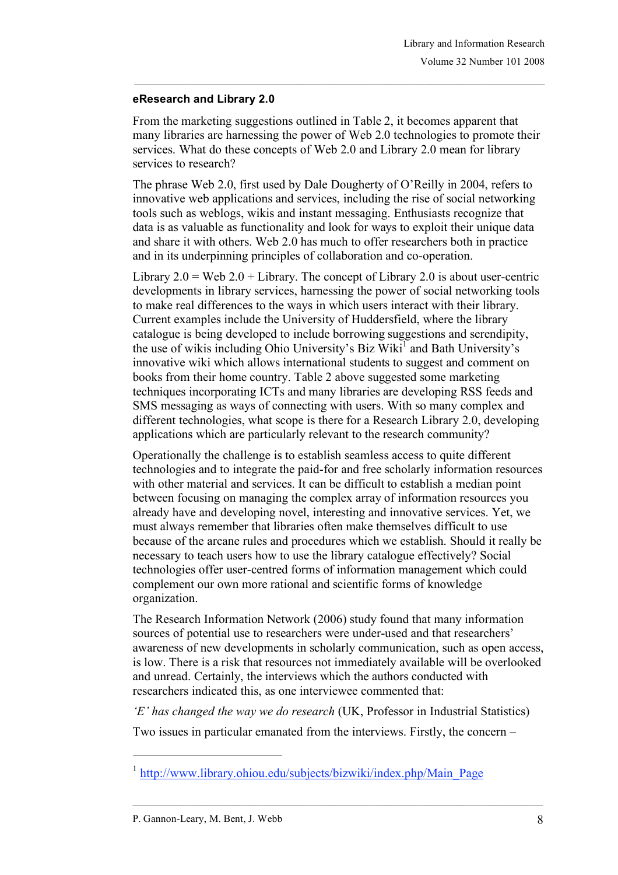## **eResearch and Library 2.0**

From the marketing suggestions outlined in Table 2, it becomes apparent that many libraries are harnessing the power of Web 2.0 technologies to promote their services. What do these concepts of Web 2.0 and Library 2.0 mean for library services to research?

The phrase Web 2.0, first used by Dale Dougherty of O'Reilly in 2004, refers to innovative web applications and services, including the rise of social networking tools such as weblogs, wikis and instant messaging. Enthusiasts recognize that data is as valuable as functionality and look for ways to exploit their unique data and share it with others. Web 2.0 has much to offer researchers both in practice and in its underpinning principles of collaboration and co-operation.

Library  $2.0 =$  Web  $2.0 +$ Library. The concept of Library 2.0 is about user-centric developments in library services, harnessing the power of social networking tools to make real differences to the ways in which users interact with their library. Current examples include the University of Huddersfield, where the library catalogue is being developed to include borrowing suggestions and serendipity, the use of wikis including Ohio University's Biz Wiki<sup>1</sup> and Bath University's innovative wiki which allows international students to suggest and comment on books from their home country. Table 2 above suggested some marketing techniques incorporating ICTs and many libraries are developing RSS feeds and SMS messaging as ways of connecting with users. With so many complex and different technologies, what scope is there for a Research Library 2.0, developing applications which are particularly relevant to the research community?

Operationally the challenge is to establish seamless access to quite different technologies and to integrate the paid-for and free scholarly information resources with other material and services. It can be difficult to establish a median point between focusing on managing the complex array of information resources you already have and developing novel, interesting and innovative services. Yet, we must always remember that libraries often make themselves difficult to use because of the arcane rules and procedures which we establish. Should it really be necessary to teach users how to use the library catalogue effectively? Social technologies offer user-centred forms of information management which could complement our own more rational and scientific forms of knowledge organization.

The Research Information Network (2006) study found that many information sources of potential use to researchers were under-used and that researchers' awareness of new developments in scholarly communication, such as open access, is low. There is a risk that resources not immediately available will be overlooked and unread. Certainly, the interviews which the authors conducted with researchers indicated this, as one interviewee commented that:

*'E' has changed the way we do research* (UK, Professor in Industrial Statistics)

Two issues in particular emanated from the interviews. Firstly, the concern –

l

<sup>&</sup>lt;sup>1</sup> http://www.library.ohiou.edu/subjects/bizwiki/index.php/Main\_Page

P. Gannon-Leary, M. Bent, J. Webb 8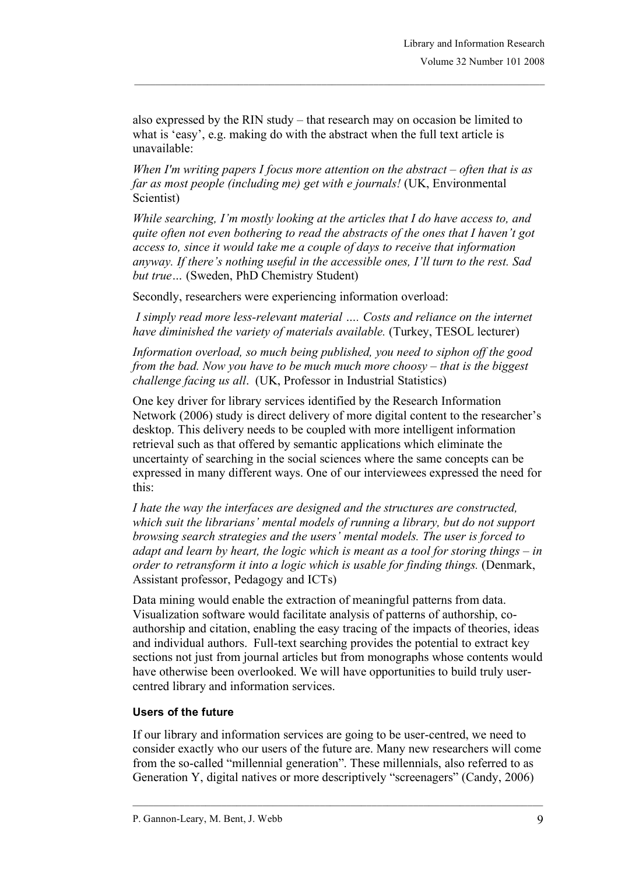also expressed by the RIN study – that research may on occasion be limited to what is 'easy', e.g. making do with the abstract when the full text article is unavailable:

*When I'm writing papers I focus more attention on the abstract – often that is as far as most people (including me) get with e journals!* (UK, Environmental Scientist)

*While searching, I'm mostly looking at the articles that I do have access to, and quite often not even bothering to read the abstracts of the ones that I haven't got access to, since it would take me a couple of days to receive that information anyway. If there's nothing useful in the accessible ones, I'll turn to the rest. Sad but true…* (Sweden, PhD Chemistry Student)

Secondly, researchers were experiencing information overload:

*I simply read more less-relevant material …. Costs and reliance on the internet have diminished the variety of materials available.* (Turkey, TESOL lecturer)

*Information overload, so much being published, you need to siphon off the good from the bad. Now you have to be much much more choosy – that is the biggest challenge facing us all*. (UK, Professor in Industrial Statistics)

One key driver for library services identified by the Research Information Network (2006) study is direct delivery of more digital content to the researcher's desktop. This delivery needs to be coupled with more intelligent information retrieval such as that offered by semantic applications which eliminate the uncertainty of searching in the social sciences where the same concepts can be expressed in many different ways. One of our interviewees expressed the need for this:

*I hate the way the interfaces are designed and the structures are constructed, which suit the librarians' mental models of running a library, but do not support browsing search strategies and the users' mental models. The user is forced to adapt and learn by heart, the logic which is meant as a tool for storing things – in order to retransform it into a logic which is usable for finding things.* (Denmark, Assistant professor, Pedagogy and ICTs)

Data mining would enable the extraction of meaningful patterns from data. Visualization software would facilitate analysis of patterns of authorship, coauthorship and citation, enabling the easy tracing of the impacts of theories, ideas and individual authors. Full-text searching provides the potential to extract key sections not just from journal articles but from monographs whose contents would have otherwise been overlooked. We will have opportunities to build truly usercentred library and information services.

## **Users of the future**

If our library and information services are going to be user-centred, we need to consider exactly who our users of the future are. Many new researchers will come from the so-called "millennial generation". These millennials, also referred to as Generation Y, digital natives or more descriptively "screenagers" (Candy, 2006)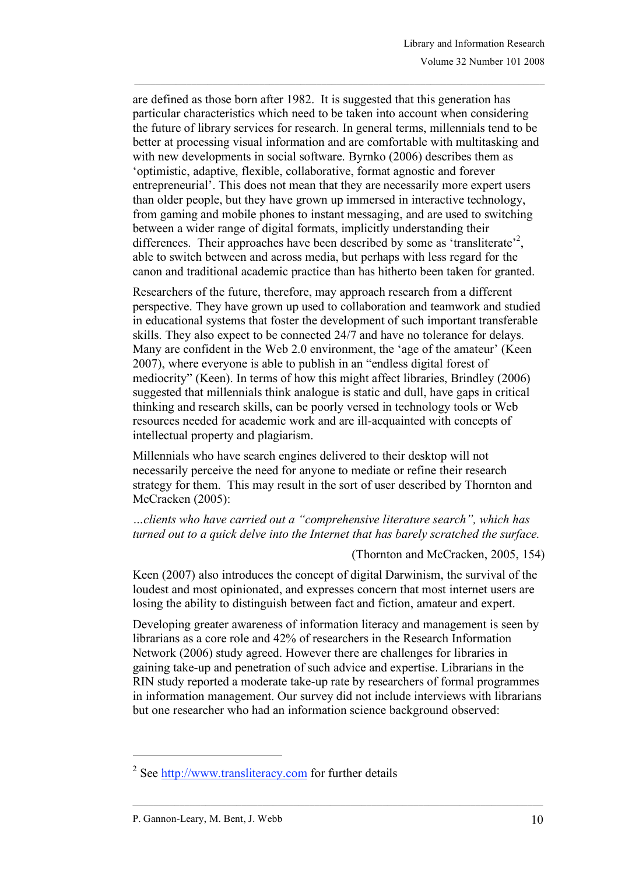are defined as those born after 1982. It is suggested that this generation has particular characteristics which need to be taken into account when considering the future of library services for research. In general terms, millennials tend to be better at processing visual information and are comfortable with multitasking and with new developments in social software. Byrnko (2006) describes them as 'optimistic, adaptive, flexible, collaborative, format agnostic and forever entrepreneurial'. This does not mean that they are necessarily more expert users than older people, but they have grown up immersed in interactive technology, from gaming and mobile phones to instant messaging, and are used to switching between a wider range of digital formats, implicitly understanding their differences. Their approaches have been described by some as 'transliterate'<sup>2</sup>, able to switch between and across media, but perhaps with less regard for the canon and traditional academic practice than has hitherto been taken for granted.

Researchers of the future, therefore, may approach research from a different perspective. They have grown up used to collaboration and teamwork and studied in educational systems that foster the development of such important transferable skills. They also expect to be connected 24/7 and have no tolerance for delays. Many are confident in the Web 2.0 environment, the 'age of the amateur' (Keen 2007), where everyone is able to publish in an "endless digital forest of mediocrity" (Keen). In terms of how this might affect libraries, Brindley (2006) suggested that millennials think analogue is static and dull, have gaps in critical thinking and research skills, can be poorly versed in technology tools or Web resources needed for academic work and are ill-acquainted with concepts of intellectual property and plagiarism.

Millennials who have search engines delivered to their desktop will not necessarily perceive the need for anyone to mediate or refine their research strategy for them. This may result in the sort of user described by Thornton and McCracken (2005):

*…clients who have carried out a "comprehensive literature search", which has turned out to a quick delve into the Internet that has barely scratched the surface.*

(Thornton and McCracken, 2005, 154)

Keen (2007) also introduces the concept of digital Darwinism, the survival of the loudest and most opinionated, and expresses concern that most internet users are losing the ability to distinguish between fact and fiction, amateur and expert.

Developing greater awareness of information literacy and management is seen by librarians as a core role and 42% of researchers in the Research Information Network (2006) study agreed. However there are challenges for libraries in gaining take-up and penetration of such advice and expertise. Librarians in the RIN study reported a moderate take-up rate by researchers of formal programmes in information management. Our survey did not include interviews with librarians but one researcher who had an information science background observed:

l

<sup>2</sup> See http://www.transliteracy.com for further details

P. Gannon-Leary, M. Bent, J. Webb 10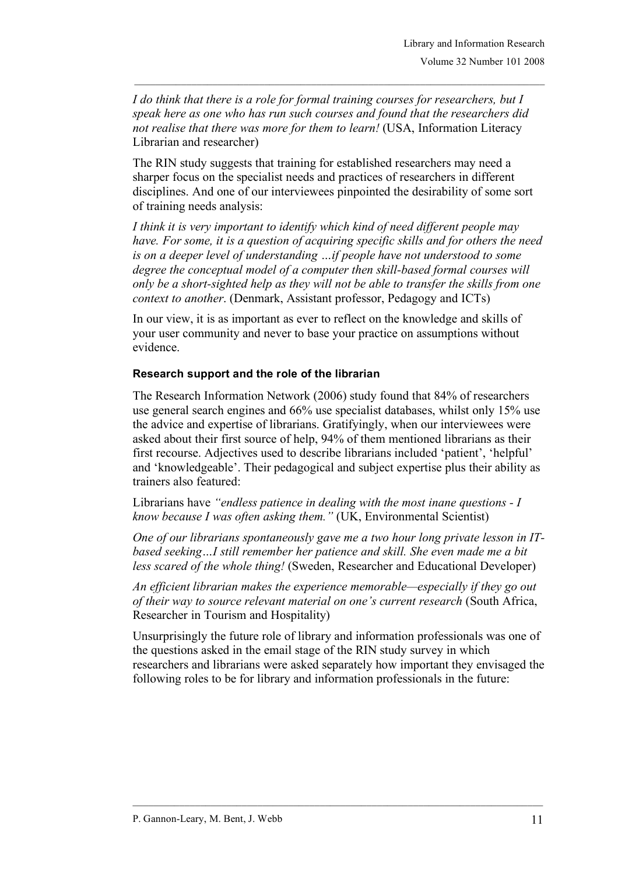*I do think that there is a role for formal training courses for researchers, but I speak here as one who has run such courses and found that the researchers did not realise that there was more for them to learn!* (USA, Information Literacy Librarian and researcher)

The RIN study suggests that training for established researchers may need a sharper focus on the specialist needs and practices of researchers in different disciplines. And one of our interviewees pinpointed the desirability of some sort of training needs analysis:

*I think it is very important to identify which kind of need different people may have. For some, it is a question of acquiring specific skills and for others the need is on a deeper level of understanding …if people have not understood to some degree the conceptual model of a computer then skill-based formal courses will only be a short-sighted help as they will not be able to transfer the skills from one context to another*. (Denmark, Assistant professor, Pedagogy and ICTs)

In our view, it is as important as ever to reflect on the knowledge and skills of your user community and never to base your practice on assumptions without evidence.

## **Research support and the role of the librarian**

The Research Information Network (2006) study found that 84% of researchers use general search engines and 66% use specialist databases, whilst only 15% use the advice and expertise of librarians. Gratifyingly, when our interviewees were asked about their first source of help, 94% of them mentioned librarians as their first recourse. Adjectives used to describe librarians included 'patient', 'helpful' and 'knowledgeable'. Their pedagogical and subject expertise plus their ability as trainers also featured:

Librarians have *"endless patience in dealing with the most inane questions - I know because I was often asking them."* (UK, Environmental Scientist)

*One of our librarians spontaneously gave me a two hour long private lesson in ITbased seeking…I still remember her patience and skill. She even made me a bit less scared of the whole thing!* (Sweden, Researcher and Educational Developer)

*An efficient librarian makes the experience memorable—especially if they go out of their way to source relevant material on one's current research* (South Africa, Researcher in Tourism and Hospitality)

Unsurprisingly the future role of library and information professionals was one of the questions asked in the email stage of the RIN study survey in which researchers and librarians were asked separately how important they envisaged the following roles to be for library and information professionals in the future: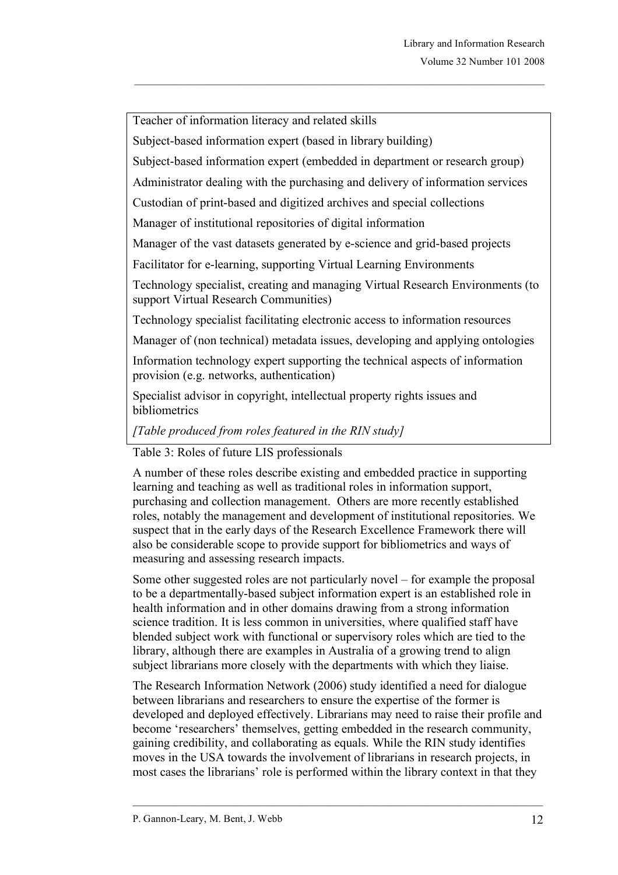Teacher of information literacy and related skills

Subject-based information expert (based in library building)

Subject-based information expert (embedded in department or research group)

Administrator dealing with the purchasing and delivery of information services

Custodian of print-based and digitized archives and special collections

Manager of institutional repositories of digital information

Manager of the vast datasets generated by e-science and grid-based projects

Facilitator for e-learning, supporting Virtual Learning Environments

Technology specialist, creating and managing Virtual Research Environments (to support Virtual Research Communities)

Technology specialist facilitating electronic access to information resources

Manager of (non technical) metadata issues, developing and applying ontologies

Information technology expert supporting the technical aspects of information provision (e.g. networks, authentication)

Specialist advisor in copyright, intellectual property rights issues and bibliometrics

*[Table produced from roles featured in the RIN study]*

Table 3: Roles of future LIS professionals

A number of these roles describe existing and embedded practice in supporting learning and teaching as well as traditional roles in information support, purchasing and collection management. Others are more recently established roles, notably the management and development of institutional repositories. We suspect that in the early days of the Research Excellence Framework there will also be considerable scope to provide support for bibliometrics and ways of measuring and assessing research impacts.

Some other suggested roles are not particularly novel – for example the proposal to be a departmentally-based subject information expert is an established role in health information and in other domains drawing from a strong information science tradition. It is less common in universities, where qualified staff have blended subject work with functional or supervisory roles which are tied to the library, although there are examples in Australia of a growing trend to align subject librarians more closely with the departments with which they liaise.

The Research Information Network (2006) study identified a need for dialogue between librarians and researchers to ensure the expertise of the former is developed and deployed effectively. Librarians may need to raise their profile and become 'researchers' themselves, getting embedded in the research community, gaining credibility, and collaborating as equals. While the RIN study identifies moves in the USA towards the involvement of librarians in research projects, in most cases the librarians' role is performed within the library context in that they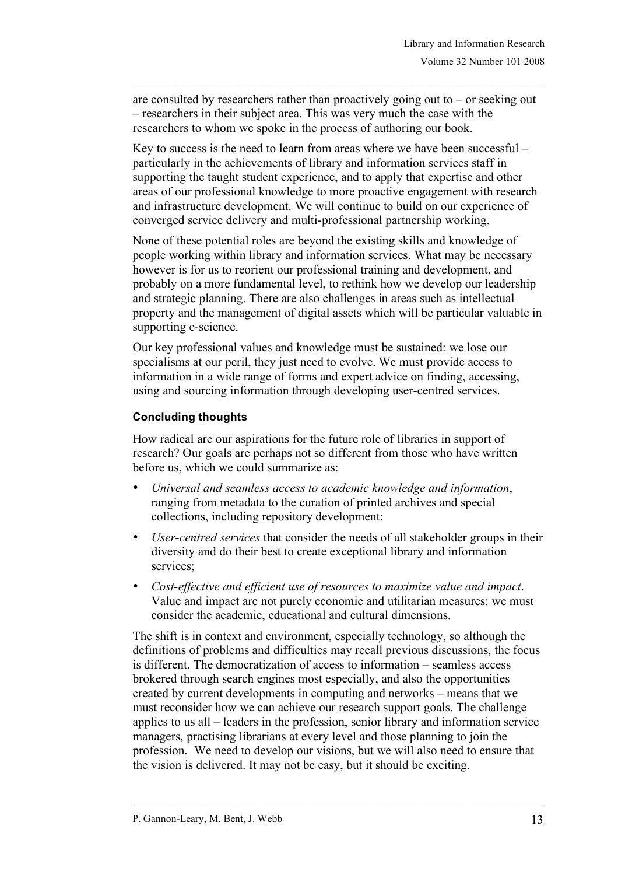are consulted by researchers rather than proactively going out to  $-$  or seeking out – researchers in their subject area. This was very much the case with the researchers to whom we spoke in the process of authoring our book.

Key to success is the need to learn from areas where we have been successful – particularly in the achievements of library and information services staff in supporting the taught student experience, and to apply that expertise and other areas of our professional knowledge to more proactive engagement with research and infrastructure development. We will continue to build on our experience of converged service delivery and multi-professional partnership working.

None of these potential roles are beyond the existing skills and knowledge of people working within library and information services. What may be necessary however is for us to reorient our professional training and development, and probably on a more fundamental level, to rethink how we develop our leadership and strategic planning. There are also challenges in areas such as intellectual property and the management of digital assets which will be particular valuable in supporting e-science.

Our key professional values and knowledge must be sustained: we lose our specialisms at our peril, they just need to evolve. We must provide access to information in a wide range of forms and expert advice on finding, accessing, using and sourcing information through developing user-centred services.

## **Concluding thoughts**

How radical are our aspirations for the future role of libraries in support of research? Our goals are perhaps not so different from those who have written before us, which we could summarize as:

- *Universal and seamless access to academic knowledge and information*, ranging from metadata to the curation of printed archives and special collections, including repository development;
- *User-centred services* that consider the needs of all stakeholder groups in their diversity and do their best to create exceptional library and information services;
- *Cost-effective and efficient use of resources to maximize value and impact*. Value and impact are not purely economic and utilitarian measures: we must consider the academic, educational and cultural dimensions.

The shift is in context and environment, especially technology, so although the definitions of problems and difficulties may recall previous discussions, the focus is different. The democratization of access to information – seamless access brokered through search engines most especially, and also the opportunities created by current developments in computing and networks – means that we must reconsider how we can achieve our research support goals. The challenge applies to us all – leaders in the profession, senior library and information service managers, practising librarians at every level and those planning to join the profession. We need to develop our visions, but we will also need to ensure that the vision is delivered. It may not be easy, but it should be exciting.